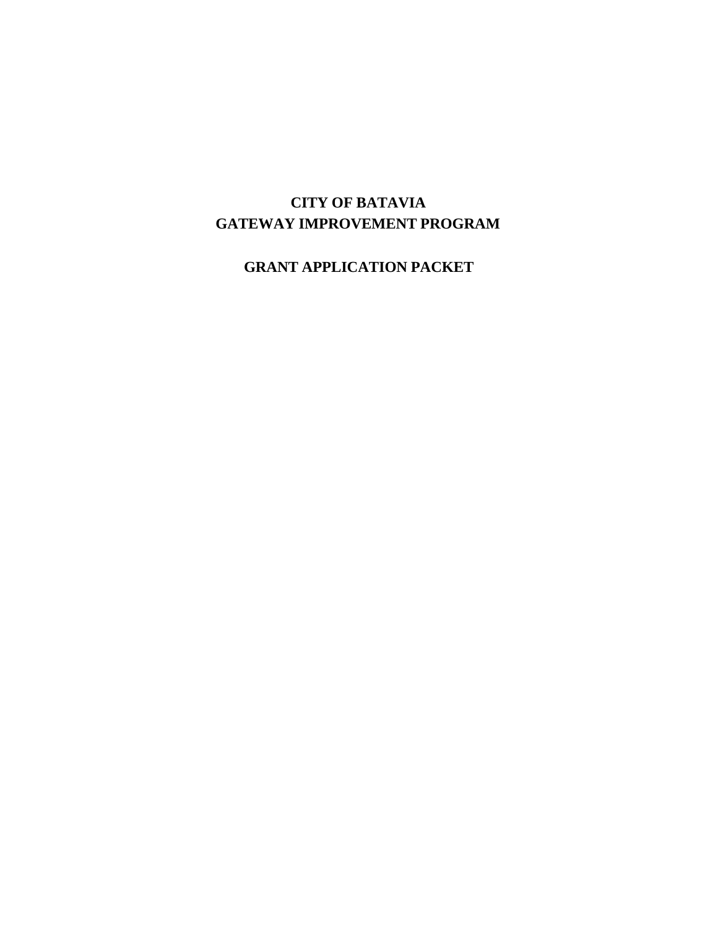# **CITY OF BATAVIA GATEWAY IMPROVEMENT PROGRAM**

**GRANT APPLICATION PACKET**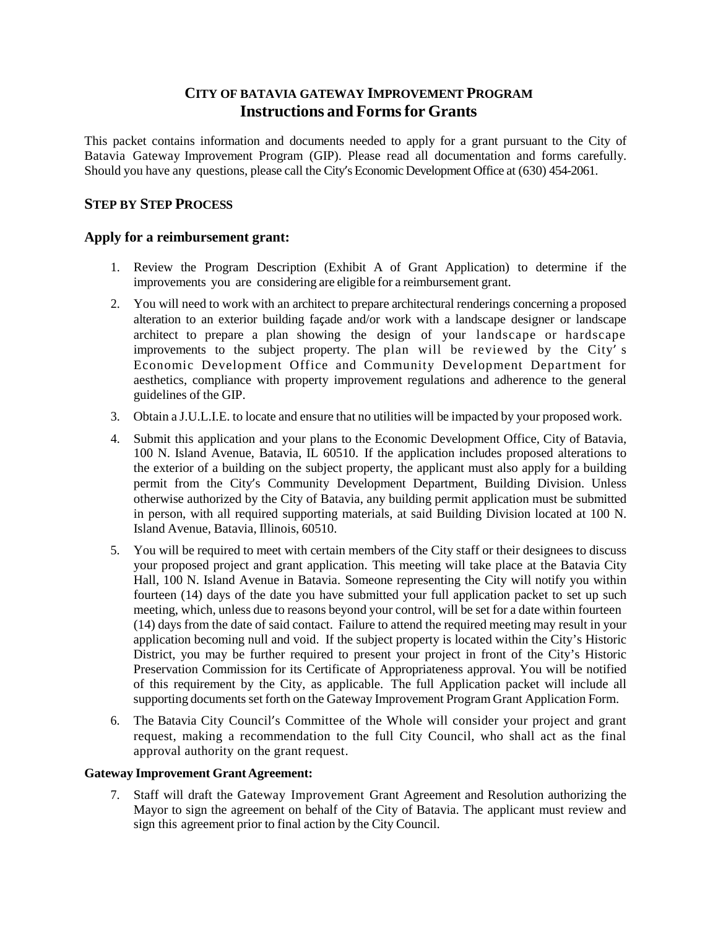## **CITY OF BATAVIA GATEWAY IMPROVEMENT PROGRAM Instructions and Formsfor Grants**

This packet contains information and documents needed to apply for a grant pursuant to the City of Batavia Gateway Improvement Program (GIP). Please read all documentation and forms carefully. Should you have any questions, please call the City's Economic Development Office at (630) 454-2061.

## **STEP BY STEP PROCESS**

#### **Apply for a reimbursement grant:**

- 1. Review the Program Description (Exhibit A of Grant Application) to determine if the improvements you are considering are eligible for a reimbursement grant.
- 2. You will need to work with an architect to prepare architectural renderings concerning a proposed alteration to an exterior building façade and/or work with a landscape designer or landscape architect to prepare a plan showing the design of your landscape or hardscape improvements to the subject property. The plan will be reviewed by the City' s Economic Development Office and Community Development Department for aesthetics, compliance with property improvement regulations and adherence to the general guidelines of the GIP.
- 3. Obtain a J.U.L.I.E. to locate and ensure that no utilities will be impacted by your proposed work.
- 4. Submit this application and your plans to the Economic Development Office, City of Batavia, 100 N. Island Avenue, Batavia, IL 60510. If the application includes proposed alterations to the exterior of a building on the subject property, the applicant must also apply for a building permit from the City's Community Development Department, Building Division. Unless otherwise authorized by the City of Batavia, any building permit application must be submitted in person, with all required supporting materials, at said Building Division located at 100 N. Island Avenue, Batavia, Illinois, 60510.
- 5. You will be required to meet with certain members of the City staff or their designees to discuss your proposed project and grant application. This meeting will take place at the Batavia City Hall, 100 N. Island Avenue in Batavia. Someone representing the City will notify you within fourteen (14) days of the date you have submitted your full application packet to set up such meeting, which, unless due to reasons beyond your control, will be set for a date within fourteen (14) days from the date of said contact. Failure to attend the required meeting may result in your application becoming null and void. If the subject property is located within the City's Historic District, you may be further required to present your project in front of the City's Historic Preservation Commission for its Certificate of Appropriateness approval. You will be notified of this requirement by the City, as applicable. The full Application packet will include all supporting documents set forth on the Gateway Improvement Program Grant Application Form.
- 6. The Batavia City Council's Committee of the Whole will consider your project and grant request, making a recommendation to the full City Council, who shall act as the final approval authority on the grant request.

#### **Gateway Improvement Grant Agreement:**

7. Staff will draft the Gateway Improvement Grant Agreement and Resolution authorizing the Mayor to sign the agreement on behalf of the City of Batavia. The applicant must review and sign this agreement prior to final action by the City Council.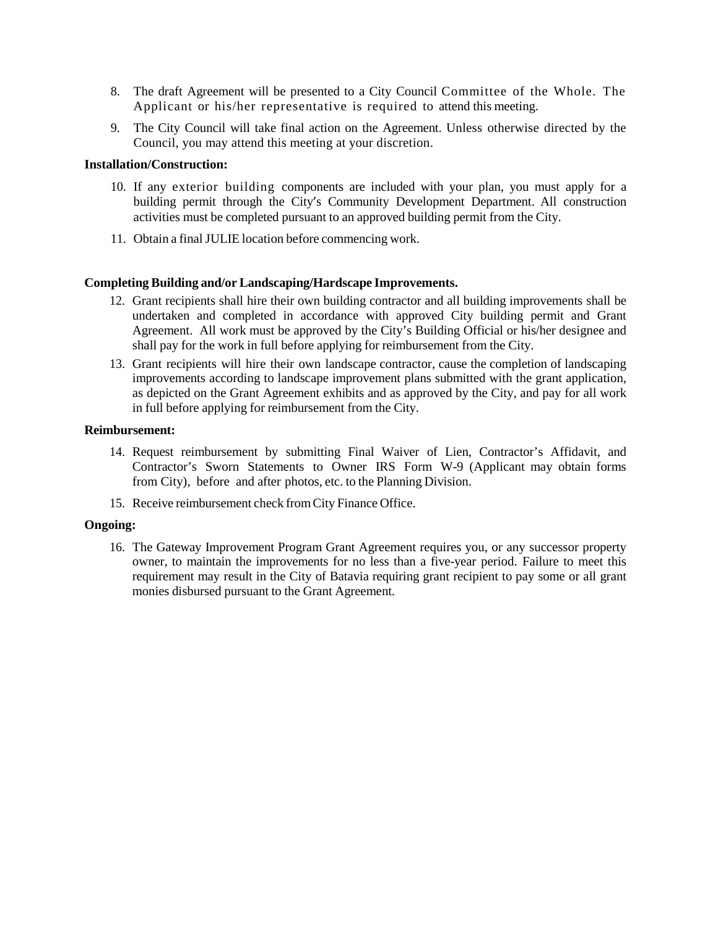- 8. The draft Agreement will be presented to a City Council Committee of the Whole. The Applicant or his/her representative is required to attend this meeting.
- 9. The City Council will take final action on the Agreement. Unless otherwise directed by the Council, you may attend this meeting at your discretion.

#### **Installation/Construction:**

- 10. If any exterior building components are included with your plan, you must apply for a building permit through the City's Community Development Department. All construction activities must be completed pursuant to an approved building permit from the City.
- 11. Obtain a final JULIE location before commencing work.

#### **Completing Building and/or Landscaping/Hardscape Improvements.**

- 12. Grant recipients shall hire their own building contractor and all building improvements shall be undertaken and completed in accordance with approved City building permit and Grant Agreement. All work must be approved by the City's Building Official or his/her designee and shall pay for the work in full before applying for reimbursement from the City.
- 13. Grant recipients will hire their own landscape contractor, cause the completion of landscaping improvements according to landscape improvement plans submitted with the grant application, as depicted on the Grant Agreement exhibits and as approved by the City, and pay for all work in full before applying for reimbursement from the City.

#### **Reimbursement:**

- 14. Request reimbursement by submitting Final Waiver of Lien, Contractor's Affidavit, and Contractor's Sworn Statements to Owner IRS Form W-9 (Applicant may obtain forms from City), before and after photos, etc. to the Planning Division.
- 15. Receive reimbursement check fromCity Finance Office.

#### **Ongoing:**

16. The Gateway Improvement Program Grant Agreement requires you, or any successor property owner, to maintain the improvements for no less than a five-year period. Failure to meet this requirement may result in the City of Batavia requiring grant recipient to pay some or all grant monies disbursed pursuant to the Grant Agreement.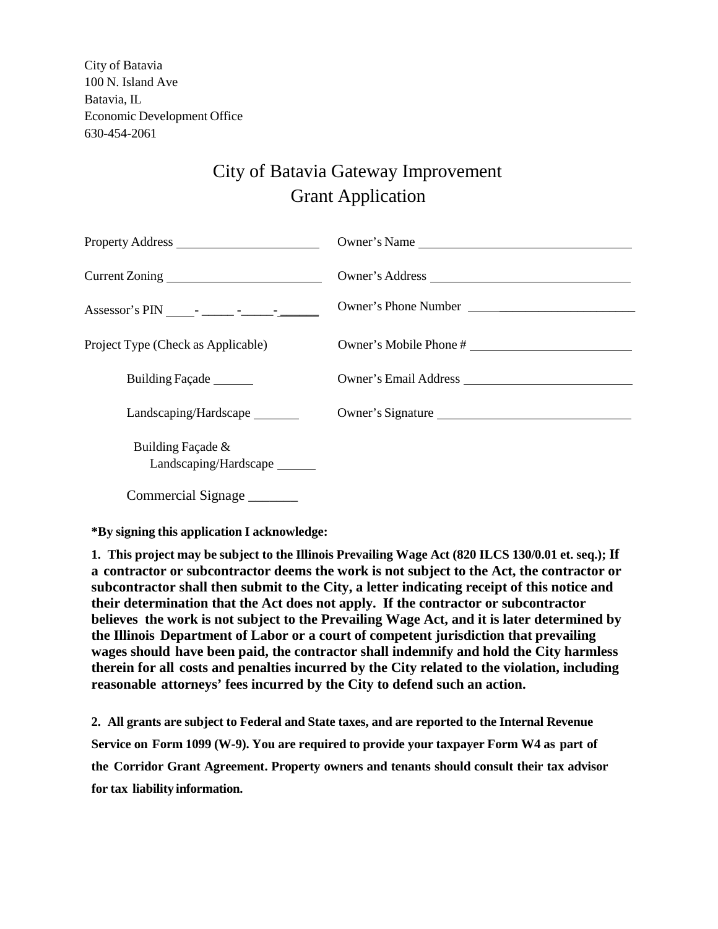City of Batavia 100 N. Island Ave Batavia, IL Economic Development Office 630-454-2061

# City of Batavia Gateway Improvement Grant Application

|                                            | Owner's Name           |
|--------------------------------------------|------------------------|
| Current Zoning                             | Owner's Address        |
| Assessor's PIN ______ - _____ - _____ -    | Owner's Phone Number   |
| Project Type (Check as Applicable)         | Owner's Mobile Phone # |
| Building Façade                            |                        |
| Landscaping/Hardscape                      | Owner's Signature      |
| Building Façade &<br>Landscaping/Hardscape |                        |

Commercial Signage \_\_\_\_\_\_\_

**\*By signing this application I acknowledge:**

1. This project may be subject to the Illinois Prevailing Wage Act (820 ILCS 130/0.01 et. seq.); If **a contractor or subcontractor deems the work is not subject to the Act, the contractor or subcontractor shall then submit to the City, a letter indicating receipt of this notice and their determination that the Act does not apply. If the contractor or subcontractor believes the work is not subject to the Prevailing Wage Act, and it is later determined by the Illinois Department of Labor or a court of competent jurisdiction that prevailing wages should have been paid, the contractor shall indemnify and hold the City harmless therein for all costs and penalties incurred by the City related to the violation, including reasonable attorneys' fees incurred by the City to defend such an action.**

**2. All grants are subject to Federal and State taxes, and are reported to the Internal Revenue Service on Form 1099 (W-9). You are required to provide your taxpayer Form W4 as part of the Corridor Grant Agreement. Property owners and tenants should consult their tax advisor for tax liability information.**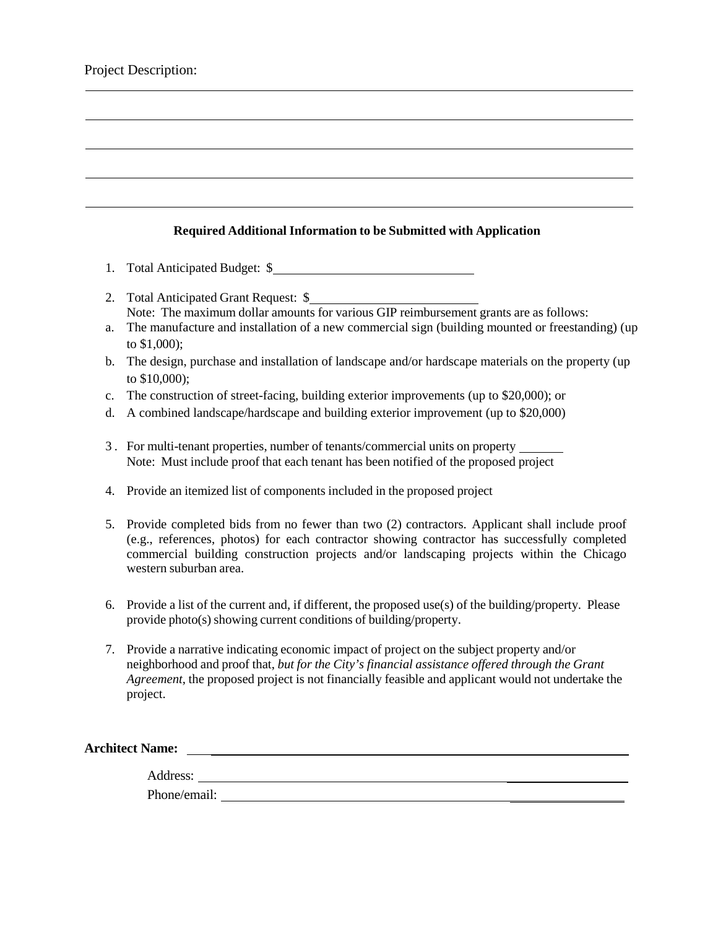## **Required Additional Information to be Submitted with Application**

- 1. Total Anticipated Budget: \$
- 2. Total Anticipated Grant Request: \$ Note: The maximum dollar amounts for various GIP reimbursement grants are as follows:
- a. The manufacture and installation of a new commercial sign (building mounted or freestanding) (up to \$1,000);
- b. The design, purchase and installation of landscape and/or hardscape materials on the property (up to \$10,000);
- c. The construction of street-facing, building exterior improvements (up to \$20,000); or
- d. A combined landscape/hardscape and building exterior improvement (up to \$20,000)
- 3 . For multi-tenant properties, number of tenants/commercial units on property Note: Must include proof that each tenant has been notified of the proposed project
- 4. Provide an itemized list of components included in the proposed project
- 5. Provide completed bids from no fewer than two (2) contractors. Applicant shall include proof (e.g., references, photos) for each contractor showing contractor has successfully completed commercial building construction projects and/or landscaping projects within the Chicago western suburban area.
- 6. Provide a list of the current and, if different, the proposed use(s) of the building/property. Please provide photo(s) showing current conditions of building/property.
- 7. Provide a narrative indicating economic impact of project on the subject property and/or neighborhood and proof that, *but for the City's financial assistance offered through the Grant Agreement*, the proposed project is not financially feasible and applicant would not undertake the project.

#### **Architect Name:**

| $1$ month<br>Audress. |  |
|-----------------------|--|
| Phone/email:          |  |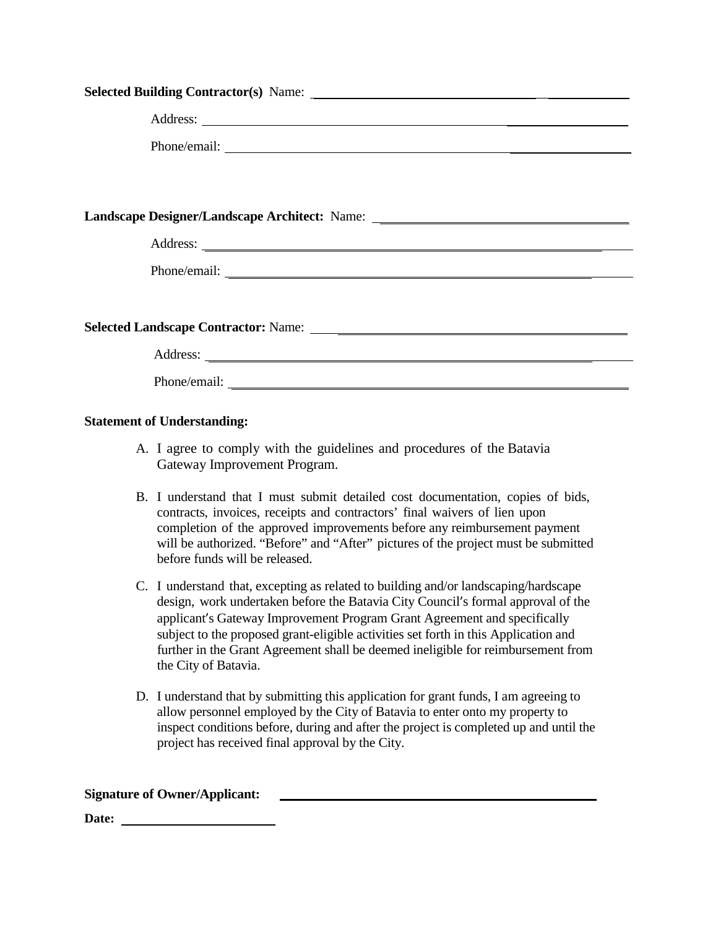| Landscape Designer/Landscape Architect: Name: ___________________________________                                    |
|----------------------------------------------------------------------------------------------------------------------|
|                                                                                                                      |
|                                                                                                                      |
|                                                                                                                      |
|                                                                                                                      |
|                                                                                                                      |
|                                                                                                                      |
| <b>Statement of Understanding:</b>                                                                                   |
| A. I agree to comply with the guidelines and procedures of the Batavia<br>Gateway Improvement Program.               |
| المنافذ المستحدث والمتحدث والمستحدث والمستحدث والمستحدث والمستحدث والمستحدث والمستحدث والمستحدث والمتعادلة والمستحدث |

- B. I understand that I must submit detailed cost documentation, copies of bids, contracts, invoices, receipts and contractors' final waivers of lien upon completion of the approved improvements before any reimbursement payment will be authorized. "Before" and "After" pictures of the project must be submitted before funds will be released.
- C. I understand that, excepting as related to building and/or landscaping/hardscape design, work undertaken before the Batavia City Council's formal approval of the applicant's Gateway Improvement Program Grant Agreement and specifically subject to the proposed grant-eligible activities set forth in this Application and further in the Grant Agreement shall be deemed ineligible for reimbursement from the City of Batavia.
- D. I understand that by submitting this application for grant funds, I am agreeing to allow personnel employed by the City of Batavia to enter onto my property to inspect conditions before, during and after the project is completed up and until the project has received final approval by the City.

## **Signature of Owner/Applicant:**

**Date:**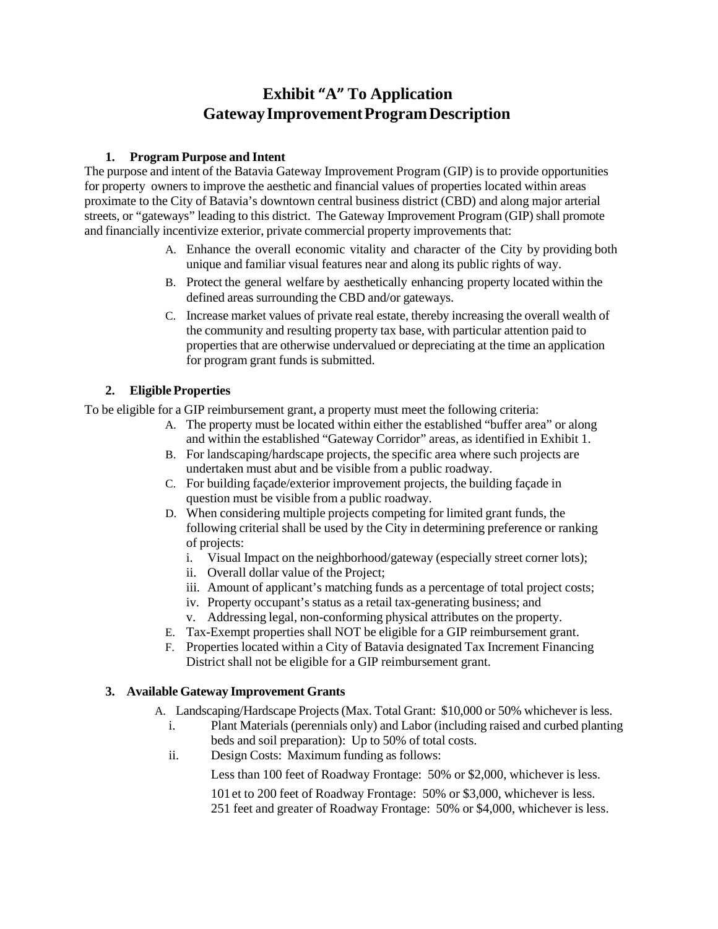# **Exhibit "A" To Application GatewayImprovementProgramDescription**

#### **1. Program Purpose and Intent**

The purpose and intent of the Batavia Gateway Improvement Program (GIP) is to provide opportunities for property owners to improve the aesthetic and financial values of properties located within areas proximate to the City of Batavia's downtown central business district (CBD) and along major arterial streets, or "gateways" leading to this district. The Gateway Improvement Program (GIP) shall promote and financially incentivize exterior, private commercial property improvements that:

- A. Enhance the overall economic vitality and character of the City by providing both unique and familiar visual features near and along its public rights of way.
- B. Protect the general welfare by aesthetically enhancing property located within the defined areas surrounding the CBD and/or gateways.
- C. Increase market values of private real estate, thereby increasing the overall wealth of the community and resulting property tax base, with particular attention paid to properties that are otherwise undervalued or depreciating at the time an application for program grant funds is submitted.

## **2. Eligible Properties**

To be eligible for a GIP reimbursement grant, a property must meet the following criteria:

- A. The property must be located within either the established "buffer area" or along and within the established "Gateway Corridor" areas, as identified in Exhibit 1.
- B. For landscaping/hardscape projects, the specific area where such projects are undertaken must abut and be visible from a public roadway.
- C. For building façade/exterior improvement projects, the building façade in question must be visible from a public roadway.
- D. When considering multiple projects competing for limited grant funds, the following criterial shall be used by the City in determining preference or ranking of projects:
	- i. Visual Impact on the neighborhood/gateway (especially street corner lots);
	- ii. Overall dollar value of the Project;
	- iii. Amount of applicant's matching funds as a percentage of total project costs;
	- iv. Property occupant's status as a retail tax-generating business; and
	- v. Addressing legal, non-conforming physical attributes on the property.
- E. Tax-Exempt properties shall NOT be eligible for a GIP reimbursement grant.
- F. Properties located within a City of Batavia designated Tax Increment Financing District shall not be eligible for a GIP reimbursement grant.

#### **3. Available Gateway Improvement Grants**

- A. Landscaping/Hardscape Projects(Max. Total Grant: \$10,000 or 50% whichever is less.
	- i. Plant Materials (perennials only) and Labor (including raised and curbed planting beds and soil preparation): Up to 50% of total costs.
	- ii. Design Costs: Maximum funding as follows:

Less than 100 feet of Roadway Frontage: 50% or \$2,000, whichever is less.

101et to 200 feet of Roadway Frontage: 50% or \$3,000, whichever is less. 251 feet and greater of Roadway Frontage: 50% or \$4,000, whichever is less.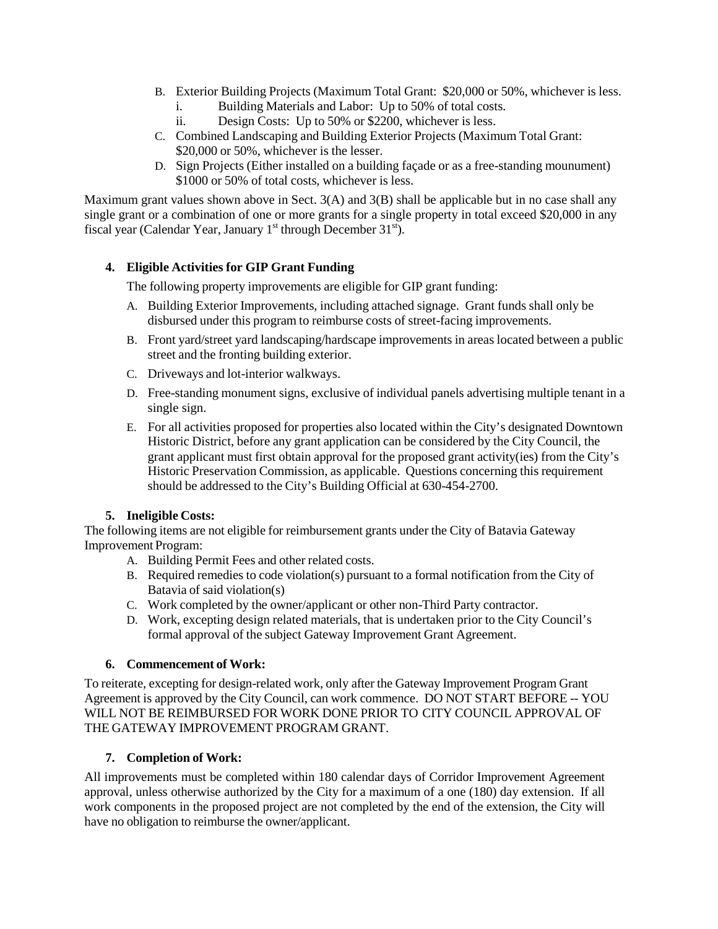- B. Exterior Building Projects (Maximum Total Grant: \$20,000 or 50%, whichever is less.
	- i. Building Materials and Labor: Up to 50% of total costs.
	- ii. Design Costs: Up to 50% or \$2200, whichever is less.
- C. Combined Landscaping and Building Exterior Projects (Maximum Total Grant: \$20,000 or 50%, whichever is the lesser.
- D. Sign Projects (Either installed on a building façade or as a free-standing mounument) \$1000 or 50% of total costs, whichever is less.

Maximum grant values shown above in Sect. 3(A) and 3(B) shall be applicable but in no case shall any single grant or a combination of one or more grants for a single property in total exceed \$20,000 in any fiscal year (Calendar Year, January  $1<sup>st</sup>$  through December 31 $<sup>st</sup>$ ).</sup>

## **4. Eligible Activities for GIP Grant Funding**

The following property improvements are eligible for GIP grant funding:

- A. Building Exterior Improvements, including attached signage. Grant funds shall only be disbursed under this program to reimburse costs of street-facing improvements.
- B. Front yard/street yard landscaping/hardscape improvements in areas located between a public street and the fronting building exterior.
- C. Driveways and lot-interior walkways.
- D. Free-standing monument signs, exclusive of individual panels advertising multiple tenant in a single sign.
- E. For all activities proposed for properties also located within the City's designated Downtown Historic District, before any grant application can be considered by the City Council, the grant applicant must first obtain approval for the proposed grant activity(ies) from the City's Historic Preservation Commission, as applicable. Questions concerning this requirement should be addressed to the City's Building Official at 630-454-2700.

## **5. Ineligible Costs:**

The following items are not eligible for reimbursement grants under the City of Batavia Gateway Improvement Program:

- A. Building Permit Fees and other related costs.
- B. Required remedies to code violation(s) pursuant to a formal notification from the City of Batavia of said violation(s)
- C. Work completed by the owner/applicant or other non-Third Party contractor.
- D. Work, excepting design related materials, that is undertaken prior to the City Council's formal approval of the subject Gateway Improvement Grant Agreement.

## **6. Commencement of Work:**

To reiterate, excepting for design-related work, only after the Gateway Improvement Program Grant Agreement is approved by the City Council, can work commence. DO NOT START BEFORE -- YOU WILL NOT BE REIMBURSED FOR WORK DONE PRIOR TO CITY COUNCIL APPROVAL OF THE GATEWAY IMPROVEMENT PROGRAM GRANT.

## **7. Completion of Work:**

All improvements must be completed within 180 calendar days of Corridor Improvement Agreement approval, unless otherwise authorized by the City for a maximum of a one (180) day extension. If all work components in the proposed project are not completed by the end of the extension, the City will have no obligation to reimburse the owner/applicant.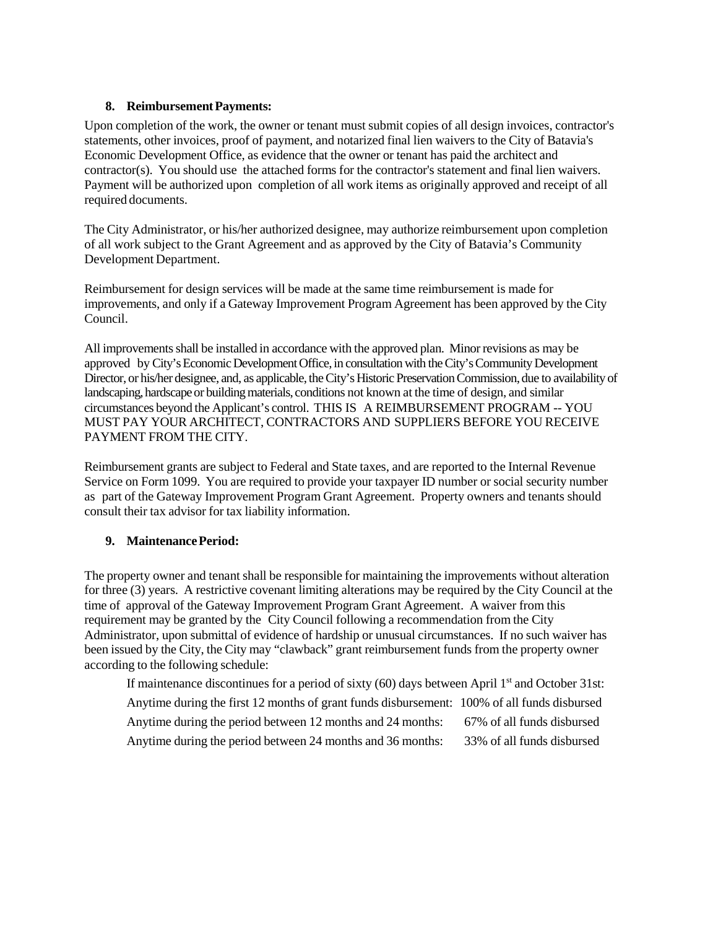#### **8.** Reimbursement Payments:

Upon completion of the work, the owner or tenant must submit copies of all design invoices, contractor's statements, other invoices, proof of payment, and notarized final lien waivers to the City of Batavia's Economic Development Office, as evidence that the owner or tenant has paid the architect and contractor(s). You should use the attached forms for the contractor's statement and final lien waivers. Payment will be authorized upon completion of all work items as originally approved and receipt of all required documents.

The City Administrator, or his/her authorized designee, may authorize reimbursement upon completion of all work subject to the Grant Agreement and as approved by the City of Batavia's Community Development Department.

Reimbursement for design services will be made at the same time reimbursement is made for improvements, and only if a Gateway Improvement Program Agreement has been approved by the City Council.

All improvements shall be installed in accordance with the approved plan. Minor revisions as may be approved by City's Economic Development Office, in consultation with the City's Community Development Director, or his/her designee, and, as applicable, the City's Historic Preservation Commission, due to availability of landscaping, hardscape or building materials, conditions not known at the time of design, and similar circumstances beyond the Applicant's control. THIS IS A REIMBURSEMENT PROGRAM -- YOU MUST PAY YOUR ARCHITECT, CONTRACTORS AND SUPPLIERS BEFORE YOU RECEIVE PAYMENT FROM THE CITY.

Reimbursement grants are subject to Federal and State taxes, and are reported to the Internal Revenue Service on Form 1099. You are required to provide your taxpayer ID number or social security number as part of the Gateway Improvement Program Grant Agreement. Property owners and tenants should consult their tax advisor for tax liability information.

## **9. MaintenancePeriod:**

The property owner and tenant shall be responsible for maintaining the improvements without alteration for three (3) years. A restrictive covenant limiting alterations may be required by the City Council at the time of approval of the Gateway Improvement Program Grant Agreement. A waiver from this requirement may be granted by the City Council following a recommendation from the City Administrator, upon submittal of evidence of hardship or unusual circumstances. If no such waiver has been issued by the City, the City may "clawback" grant reimbursement funds from the property owner according to the following schedule:

If maintenance discontinues for a period of sixty  $(60)$  days between April 1<sup>st</sup> and October 31st: Anytime during the first 12 months of grant funds disbursement: 100% of all funds disbursed Anytime during the period between 12 months and 24 months: 67% of all funds disbursed Anytime during the period between 24 months and 36 months: 33% of all funds disbursed